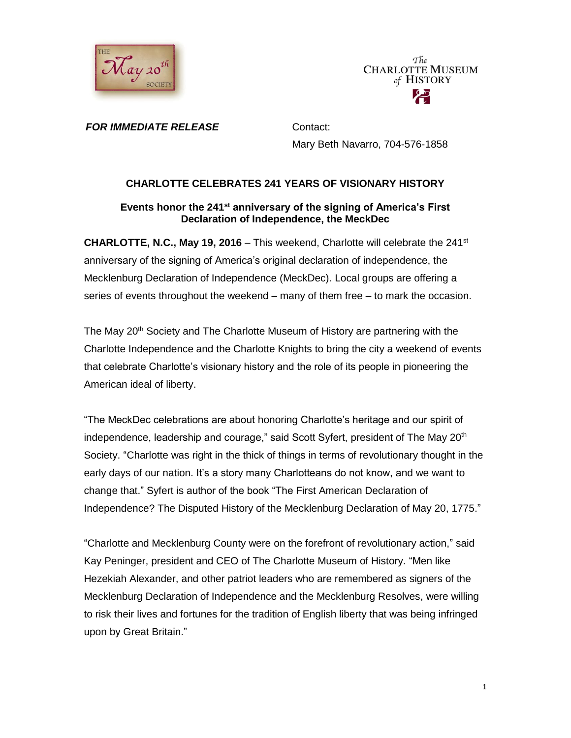

The **CHARLOTTE MUSEUM** of HISTORY

*FOR IMMEDIATE RELEASE* Contact:

Mary Beth Navarro, 704-576-1858

# **CHARLOTTE CELEBRATES 241 YEARS OF VISIONARY HISTORY**

## **Events honor the 241st anniversary of the signing of America's First Declaration of Independence, the MeckDec**

**CHARLOTTE, N.C., May 19, 2016** – This weekend, Charlotte will celebrate the 241st anniversary of the signing of America's original declaration of independence, the Mecklenburg Declaration of Independence (MeckDec). Local groups are offering a series of events throughout the weekend – many of them free – to mark the occasion.

The May 20<sup>th</sup> Society and The Charlotte Museum of History are partnering with the Charlotte Independence and the Charlotte Knights to bring the city a weekend of events that celebrate Charlotte's visionary history and the role of its people in pioneering the American ideal of liberty.

"The MeckDec celebrations are about honoring Charlotte's heritage and our spirit of independence, leadership and courage," said Scott Syfert, president of The May  $20<sup>th</sup>$ Society. "Charlotte was right in the thick of things in terms of revolutionary thought in the early days of our nation. It's a story many Charlotteans do not know, and we want to change that." Syfert is author of the book "The First American Declaration of Independence? The Disputed History of the Mecklenburg Declaration of May 20, 1775."

"Charlotte and Mecklenburg County were on the forefront of revolutionary action," said Kay Peninger, president and CEO of The Charlotte Museum of History. "Men like Hezekiah Alexander, and other patriot leaders who are remembered as signers of the Mecklenburg Declaration of Independence and the Mecklenburg Resolves, were willing to risk their lives and fortunes for the tradition of English liberty that was being infringed upon by Great Britain."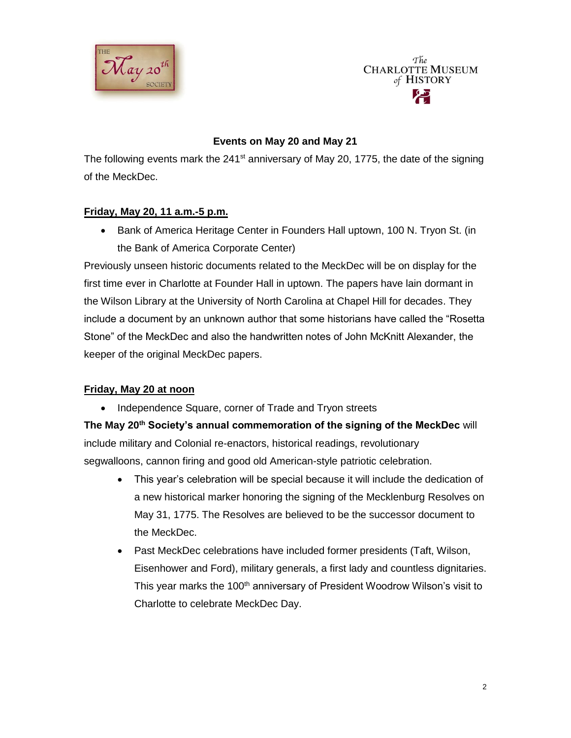

The **CHARLOTTE MUSEUM** of HISTORY

# **Events on May 20 and May 21**

The following events mark the  $241^{st}$  anniversary of May 20, 1775, the date of the signing of the MeckDec.

## **Friday, May 20, 11 a.m.-5 p.m.**

• Bank of America Heritage Center in Founders Hall uptown, 100 N. Tryon St. (in the Bank of America Corporate Center)

Previously unseen historic documents related to the MeckDec will be on display for the first time ever in Charlotte at Founder Hall in uptown. The papers have lain dormant in the Wilson Library at the University of North Carolina at Chapel Hill for decades. They include a document by an unknown author that some historians have called the "Rosetta Stone" of the MeckDec and also the handwritten notes of John McKnitt Alexander, the keeper of the original MeckDec papers.

#### **Friday, May 20 at noon**

• Independence Square, corner of Trade and Tryon streets

**The May 20th Society's annual commemoration of the signing of the MeckDec** will include military and Colonial re-enactors, historical readings, revolutionary segwalloons, cannon firing and good old American-style patriotic celebration.

- This year's celebration will be special because it will include the dedication of a new historical marker honoring the signing of the Mecklenburg Resolves on May 31, 1775. The Resolves are believed to be the successor document to the MeckDec.
- Past MeckDec celebrations have included former presidents (Taft, Wilson, Eisenhower and Ford), military generals, a first lady and countless dignitaries. This year marks the 100<sup>th</sup> anniversary of President Woodrow Wilson's visit to Charlotte to celebrate MeckDec Day.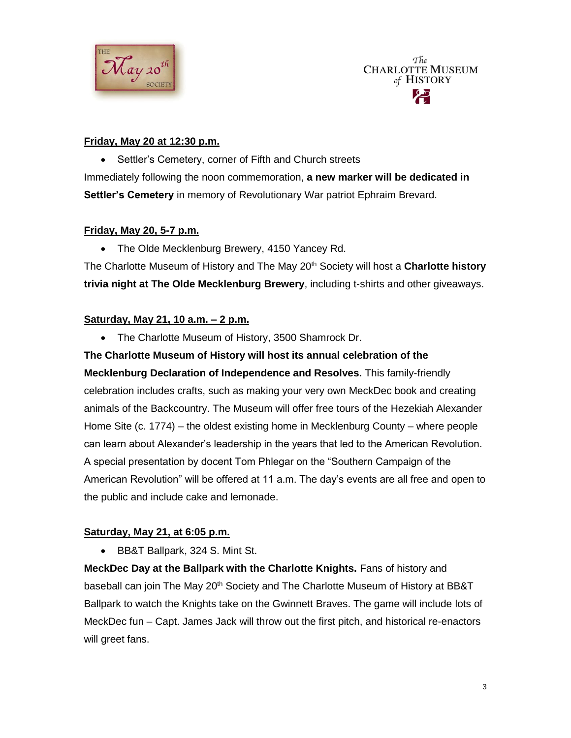



#### **Friday, May 20 at 12:30 p.m.**

• Settler's Cemetery, corner of Fifth and Church streets Immediately following the noon commemoration, **a new marker will be dedicated in Settler's Cemetery** in memory of Revolutionary War patriot Ephraim Brevard.

## **Friday, May 20, 5-7 p.m.**

• The Olde Mecklenburg Brewery, 4150 Yancey Rd.

The Charlotte Museum of History and The May 20th Society will host a **Charlotte history trivia night at The Olde Mecklenburg Brewery**, including t-shirts and other giveaways.

## **Saturday, May 21, 10 a.m. – 2 p.m.**

• The Charlotte Museum of History, 3500 Shamrock Dr.

**The Charlotte Museum of History will host its annual celebration of the Mecklenburg Declaration of Independence and Resolves.** This family-friendly celebration includes crafts, such as making your very own MeckDec book and creating animals of the Backcountry. The Museum will offer free tours of the Hezekiah Alexander Home Site (c. 1774) – the oldest existing home in Mecklenburg County – where people can learn about Alexander's leadership in the years that led to the American Revolution. A special presentation by docent Tom Phlegar on the "Southern Campaign of the American Revolution" will be offered at 11 a.m. The day's events are all free and open to the public and include cake and lemonade.

# **Saturday, May 21, at 6:05 p.m.**

• BB&T Ballpark, 324 S. Mint St.

**MeckDec Day at the Ballpark with the Charlotte Knights.** Fans of history and baseball can join The May 20<sup>th</sup> Society and The Charlotte Museum of History at BB&T Ballpark to watch the Knights take on the Gwinnett Braves. The game will include lots of MeckDec fun – Capt. James Jack will throw out the first pitch, and historical re-enactors will greet fans.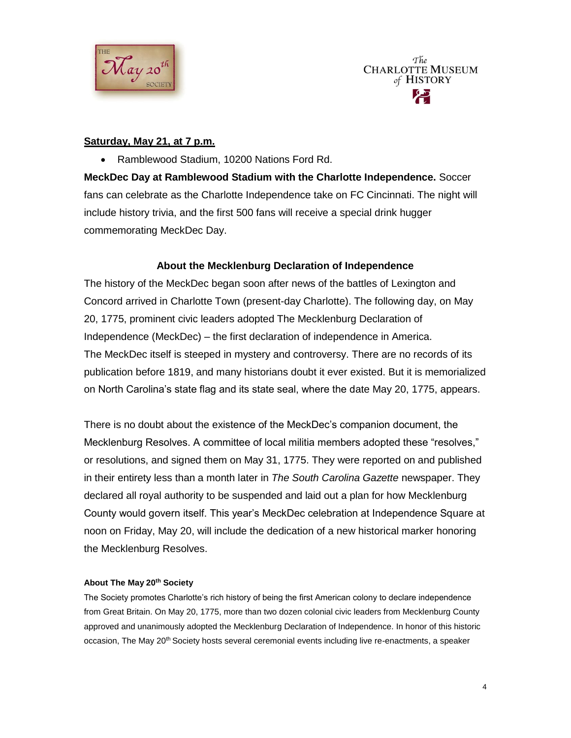



#### **Saturday, May 21, at 7 p.m.**

Ramblewood Stadium, 10200 Nations Ford Rd.

**MeckDec Day at Ramblewood Stadium with the Charlotte Independence.** Soccer fans can celebrate as the Charlotte Independence take on FC Cincinnati. The night will include history trivia, and the first 500 fans will receive a special drink hugger commemorating MeckDec Day.

#### **About the Mecklenburg Declaration of Independence**

The history of the MeckDec began soon after news of the battles of Lexington and Concord arrived in Charlotte Town (present-day Charlotte). The following day, on May 20, 1775, prominent civic leaders adopted The Mecklenburg Declaration of Independence (MeckDec) – the first declaration of independence in America. The MeckDec itself is steeped in mystery and controversy. There are no records of its publication before 1819, and many historians doubt it ever existed. But it is memorialized on North Carolina's state flag and its state seal, where the date May 20, 1775, appears.

There is no doubt about the existence of the MeckDec's companion document, the Mecklenburg Resolves. A committee of local militia members adopted these "resolves," or resolutions, and signed them on May 31, 1775. They were reported on and published in their entirety less than a month later in *The South Carolina Gazette* newspaper. They declared all royal authority to be suspended and laid out a plan for how Mecklenburg County would govern itself. This year's MeckDec celebration at Independence Square at noon on Friday, May 20, will include the dedication of a new historical marker honoring the Mecklenburg Resolves.

#### **About The May 20th Society**

The Society promotes Charlotte's rich history of being the first American colony to declare independence from Great Britain. On May 20, 1775, more than two dozen colonial civic leaders from Mecklenburg County approved and unanimously adopted the Mecklenburg Declaration of Independence. In honor of this historic occasion, The May 20<sup>th</sup> Society hosts several ceremonial events including live re-enactments, a speaker